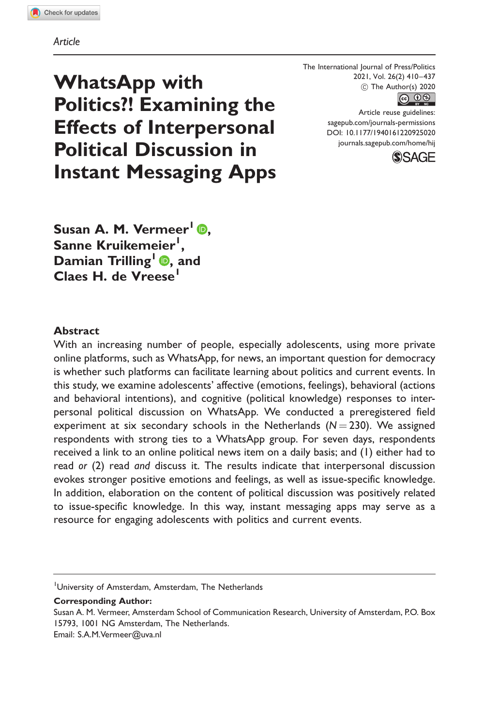Article

The International Journal of Press/Politics  $\circled{c}$  The Author(s) 2020 2021, Vol. 26(2) 410–437



Article reuse guidelines: [sagepub.com/journals-permissions](http://us.sagepub.com/en-us/journals-permissions) [DOI: 10.1177/1940161220925020](http://dx.doi.org/10.1177/1940161220925020) <journals.sagepub.com/home/hij>



WhatsApp with Politics?! Examining the Effects of Interpersonal Political Discussion in Instant Messaging Apps

Susan A. M. Vermeer $\overline{\mathbb{D}}$ . Sanne Kruikemeier<sup>l</sup>, Damian Trilling<sup>1</sup> **D**, and Claes H. de Vreese<sup>1</sup>

#### **Abstract**

With an increasing number of people, especially adolescents, using more private online platforms, such as WhatsApp, for news, an important question for democracy is whether such platforms can facilitate learning about politics and current events. In this study, we examine adolescents' affective (emotions, feelings), behavioral (actions and behavioral intentions), and cognitive (political knowledge) responses to interpersonal political discussion on WhatsApp. We conducted a preregistered field experiment at six secondary schools in the Netherlands  $(N = 230)$ . We assigned respondents with strong ties to a WhatsApp group. For seven days, respondents received a link to an online political news item on a daily basis; and (1) either had to read or (2) read and discuss it. The results indicate that interpersonal discussion evokes stronger positive emotions and feelings, as well as issue-specific knowledge. In addition, elaboration on the content of political discussion was positively related to issue-specific knowledge. In this way, instant messaging apps may serve as a resource for engaging adolescents with politics and current events.

Corresponding Author:

<sup>&</sup>lt;sup>1</sup>University of Amsterdam, Amsterdam, The Netherlands

Susan A. M. Vermeer, Amsterdam School of Communication Research, University of Amsterdam, P.O. Box 15793, 1001 NG Amsterdam, The Netherlands. Email: [S.A.M.Vermeer@uva.nl](mailto:S.A.M.Vermeer@uva.nl)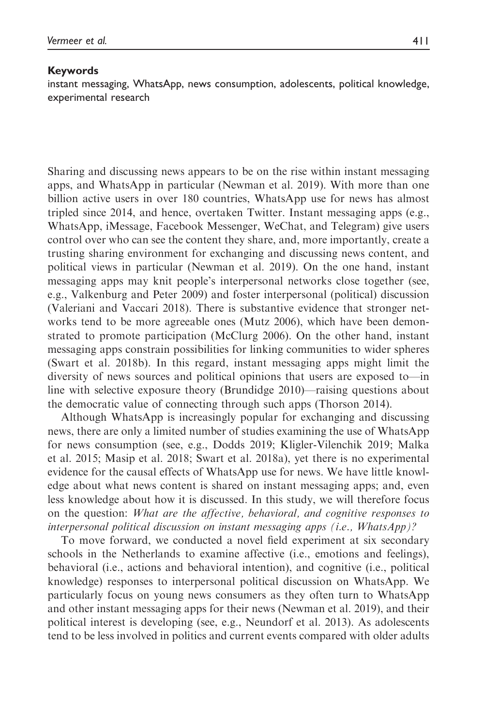#### Keywords

instant messaging, WhatsApp, news consumption, adolescents, political knowledge, experimental research

Sharing and discussing news appears to be on the rise within instant messaging apps, and WhatsApp in particular (Newman et al. 2019). With more than one billion active users in over 180 countries, WhatsApp use for news has almost tripled since 2014, and hence, overtaken Twitter. Instant messaging apps (e.g., WhatsApp, iMessage, Facebook Messenger, WeChat, and Telegram) give users control over who can see the content they share, and, more importantly, create a trusting sharing environment for exchanging and discussing news content, and political views in particular (Newman et al. 2019). On the one hand, instant messaging apps may knit people's interpersonal networks close together (see, e.g., Valkenburg and Peter 2009) and foster interpersonal (political) discussion (Valeriani and Vaccari 2018). There is substantive evidence that stronger networks tend to be more agreeable ones (Mutz 2006), which have been demonstrated to promote participation (McClurg 2006). On the other hand, instant messaging apps constrain possibilities for linking communities to wider spheres (Swart et al. 2018b). In this regard, instant messaging apps might limit the diversity of news sources and political opinions that users are exposed to—in line with selective exposure theory (Brundidge 2010)—raising questions about the democratic value of connecting through such apps (Thorson 2014).

Although WhatsApp is increasingly popular for exchanging and discussing news, there are only a limited number of studies examining the use of WhatsApp for news consumption (see, e.g., Dodds 2019; Kligler-Vilenchik 2019; Malka et al. 2015; Masip et al. 2018; Swart et al. 2018a), yet there is no experimental evidence for the causal effects of WhatsApp use for news. We have little knowledge about what news content is shared on instant messaging apps; and, even less knowledge about how it is discussed. In this study, we will therefore focus on the question: What are the affective, behavioral, and cognitive responses to interpersonal political discussion on instant messaging apps (i.e., WhatsApp)?

To move forward, we conducted a novel field experiment at six secondary schools in the Netherlands to examine affective (i.e., emotions and feelings), behavioral (i.e., actions and behavioral intention), and cognitive (i.e., political knowledge) responses to interpersonal political discussion on WhatsApp. We particularly focus on young news consumers as they often turn to WhatsApp and other instant messaging apps for their news (Newman et al. 2019), and their political interest is developing (see, e.g., Neundorf et al. 2013). As adolescents tend to be less involved in politics and current events compared with older adults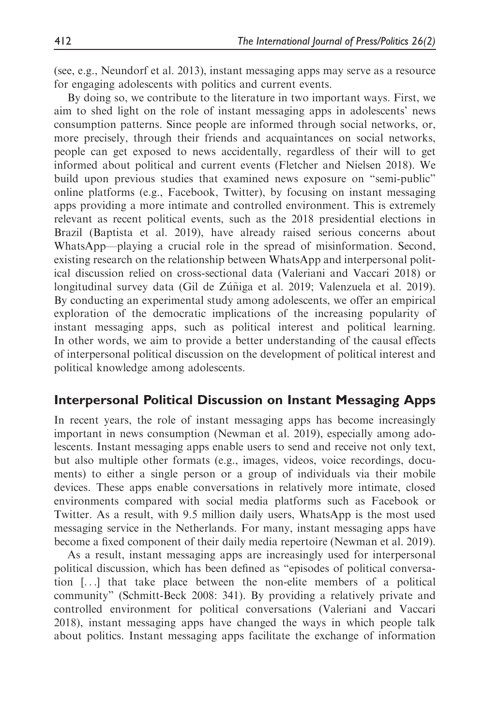(see, e.g., Neundorf et al. 2013), instant messaging apps may serve as a resource for engaging adolescents with politics and current events.

By doing so, we contribute to the literature in two important ways. First, we aim to shed light on the role of instant messaging apps in adolescents' news consumption patterns. Since people are informed through social networks, or, more precisely, through their friends and acquaintances on social networks, people can get exposed to news accidentally, regardless of their will to get informed about political and current events (Fletcher and Nielsen 2018). We build upon previous studies that examined news exposure on "semi-public" online platforms (e.g., Facebook, Twitter), by focusing on instant messaging apps providing a more intimate and controlled environment. This is extremely relevant as recent political events, such as the 2018 presidential elections in Brazil (Baptista et al. 2019), have already raised serious concerns about WhatsApp—playing a crucial role in the spread of misinformation. Second, existing research on the relationship between WhatsApp and interpersonal political discussion relied on cross-sectional data (Valeriani and Vaccari 2018) or longitudinal survey data (Gil de Zúñiga et al. 2019; Valenzuela et al. 2019). By conducting an experimental study among adolescents, we offer an empirical exploration of the democratic implications of the increasing popularity of instant messaging apps, such as political interest and political learning. In other words, we aim to provide a better understanding of the causal effects of interpersonal political discussion on the development of political interest and political knowledge among adolescents.

### Interpersonal Political Discussion on Instant Messaging Apps

In recent years, the role of instant messaging apps has become increasingly important in news consumption (Newman et al. 2019), especially among adolescents. Instant messaging apps enable users to send and receive not only text, but also multiple other formats (e.g., images, videos, voice recordings, documents) to either a single person or a group of individuals via their mobile devices. These apps enable conversations in relatively more intimate, closed environments compared with social media platforms such as Facebook or Twitter. As a result, with 9.5 million daily users, WhatsApp is the most used messaging service in the Netherlands. For many, instant messaging apps have become a fixed component of their daily media repertoire (Newman et al. 2019).

As a result, instant messaging apps are increasingly used for interpersonal political discussion, which has been defined as "episodes of political conversation [...] that take place between the non-elite members of a political community" (Schmitt-Beck 2008: 341). By providing a relatively private and controlled environment for political conversations (Valeriani and Vaccari 2018), instant messaging apps have changed the ways in which people talk about politics. Instant messaging apps facilitate the exchange of information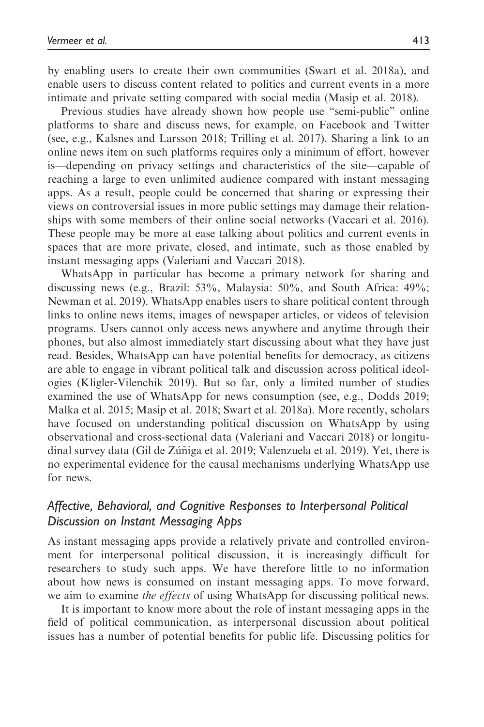intimate and private setting compared with social media (Masip et al. 2018). Previous studies have already shown how people use "semi-public" online platforms to share and discuss news, for example, on Facebook and Twitter (see, e.g., Kalsnes and Larsson 2018; Trilling et al. 2017). Sharing a link to an online news item on such platforms requires only a minimum of effort, however is—depending on privacy settings and characteristics of the site—capable of reaching a large to even unlimited audience compared with instant messaging apps. As a result, people could be concerned that sharing or expressing their views on controversial issues in more public settings may damage their relationships with some members of their online social networks (Vaccari et al. 2016). These people may be more at ease talking about politics and current events in spaces that are more private, closed, and intimate, such as those enabled by instant messaging apps (Valeriani and Vaccari 2018).

WhatsApp in particular has become a primary network for sharing and discussing news (e.g., Brazil: 53%, Malaysia: 50%, and South Africa: 49%; Newman et al. 2019). WhatsApp enables users to share political content through links to online news items, images of newspaper articles, or videos of television programs. Users cannot only access news anywhere and anytime through their phones, but also almost immediately start discussing about what they have just read. Besides, WhatsApp can have potential benefits for democracy, as citizens are able to engage in vibrant political talk and discussion across political ideologies (Kligler-Vilenchik 2019). But so far, only a limited number of studies examined the use of WhatsApp for news consumption (see, e.g., Dodds 2019; Malka et al. 2015; Masip et al. 2018; Swart et al. 2018a). More recently, scholars have focused on understanding political discussion on WhatsApp by using observational and cross-sectional data (Valeriani and Vaccari 2018) or longitudinal survey data (Gil de Zúñiga et al. 2019; Valenzuela et al. 2019). Yet, there is no experimental evidence for the causal mechanisms underlying WhatsApp use for news.

# Affective, Behavioral, and Cognitive Responses to Interpersonal Political Discussion on Instant Messaging Apps

As instant messaging apps provide a relatively private and controlled environment for interpersonal political discussion, it is increasingly difficult for researchers to study such apps. We have therefore little to no information about how news is consumed on instant messaging apps. To move forward, we aim to examine *the effects* of using WhatsApp for discussing political news.

It is important to know more about the role of instant messaging apps in the field of political communication, as interpersonal discussion about political issues has a number of potential benefits for public life. Discussing politics for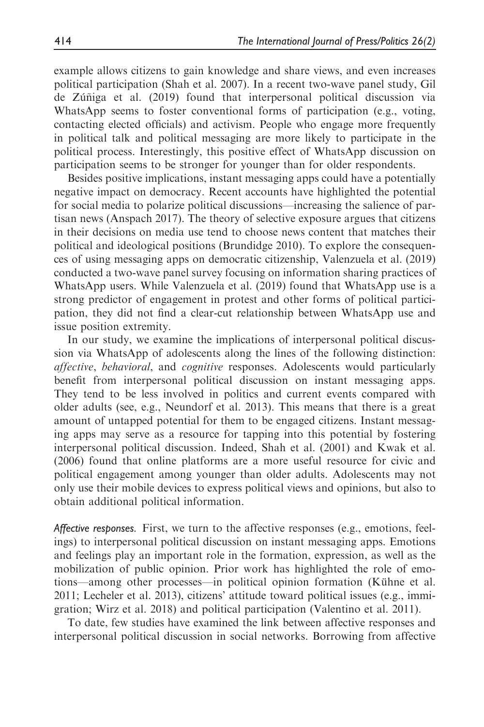example allows citizens to gain knowledge and share views, and even increases political participation (Shah et al. 2007). In a recent two-wave panel study, Gil de Zúñiga et al.  $(2019)$  found that interpersonal political discussion via WhatsApp seems to foster conventional forms of participation (e.g., voting, contacting elected officials) and activism. People who engage more frequently in political talk and political messaging are more likely to participate in the political process. Interestingly, this positive effect of WhatsApp discussion on participation seems to be stronger for younger than for older respondents.

Besides positive implications, instant messaging apps could have a potentially negative impact on democracy. Recent accounts have highlighted the potential for social media to polarize political discussions—increasing the salience of partisan news (Anspach 2017). The theory of selective exposure argues that citizens in their decisions on media use tend to choose news content that matches their political and ideological positions (Brundidge 2010). To explore the consequences of using messaging apps on democratic citizenship, Valenzuela et al. (2019) conducted a two-wave panel survey focusing on information sharing practices of WhatsApp users. While Valenzuela et al. (2019) found that WhatsApp use is a strong predictor of engagement in protest and other forms of political participation, they did not find a clear-cut relationship between WhatsApp use and issue position extremity.

In our study, we examine the implications of interpersonal political discussion via WhatsApp of adolescents along the lines of the following distinction: affective, behavioral, and cognitive responses. Adolescents would particularly benefit from interpersonal political discussion on instant messaging apps. They tend to be less involved in politics and current events compared with older adults (see, e.g., Neundorf et al. 2013). This means that there is a great amount of untapped potential for them to be engaged citizens. Instant messaging apps may serve as a resource for tapping into this potential by fostering interpersonal political discussion. Indeed, Shah et al. (2001) and Kwak et al. (2006) found that online platforms are a more useful resource for civic and political engagement among younger than older adults. Adolescents may not only use their mobile devices to express political views and opinions, but also to obtain additional political information.

Affective responses. First, we turn to the affective responses (e.g., emotions, feelings) to interpersonal political discussion on instant messaging apps. Emotions and feelings play an important role in the formation, expression, as well as the mobilization of public opinion. Prior work has highlighted the role of emotions—among other processes—in political opinion formation (Kühne et al. 2011; Lecheler et al. 2013), citizens' attitude toward political issues (e.g., immigration; Wirz et al. 2018) and political participation (Valentino et al. 2011).

To date, few studies have examined the link between affective responses and interpersonal political discussion in social networks. Borrowing from affective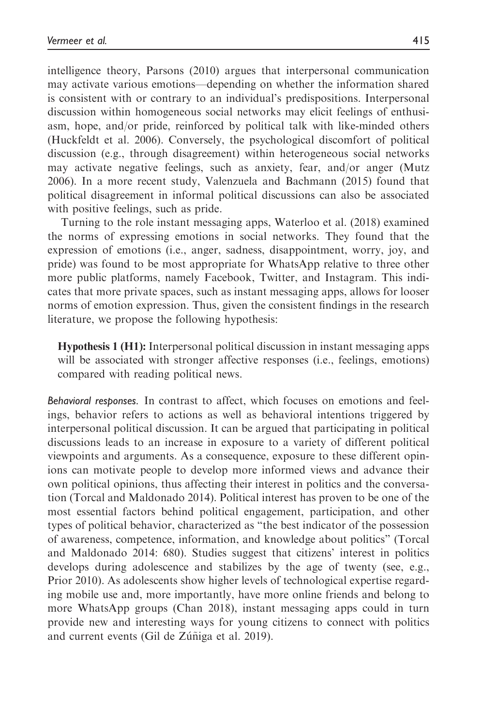intelligence theory, Parsons (2010) argues that interpersonal communication may activate various emotions—depending on whether the information shared is consistent with or contrary to an individual's predispositions. Interpersonal discussion within homogeneous social networks may elicit feelings of enthusiasm, hope, and/or pride, reinforced by political talk with like-minded others (Huckfeldt et al. 2006). Conversely, the psychological discomfort of political discussion (e.g., through disagreement) within heterogeneous social networks may activate negative feelings, such as anxiety, fear, and/or anger (Mutz 2006). In a more recent study, Valenzuela and Bachmann (2015) found that political disagreement in informal political discussions can also be associated with positive feelings, such as pride.

Turning to the role instant messaging apps, Waterloo et al. (2018) examined the norms of expressing emotions in social networks. They found that the expression of emotions (i.e., anger, sadness, disappointment, worry, joy, and pride) was found to be most appropriate for WhatsApp relative to three other more public platforms, namely Facebook, Twitter, and Instagram. This indicates that more private spaces, such as instant messaging apps, allows for looser norms of emotion expression. Thus, given the consistent findings in the research literature, we propose the following hypothesis:

Hypothesis 1 (H1): Interpersonal political discussion in instant messaging apps will be associated with stronger affective responses (i.e., feelings, emotions) compared with reading political news.

Behavioral responses. In contrast to affect, which focuses on emotions and feelings, behavior refers to actions as well as behavioral intentions triggered by interpersonal political discussion. It can be argued that participating in political discussions leads to an increase in exposure to a variety of different political viewpoints and arguments. As a consequence, exposure to these different opinions can motivate people to develop more informed views and advance their own political opinions, thus affecting their interest in politics and the conversation (Torcal and Maldonado 2014). Political interest has proven to be one of the most essential factors behind political engagement, participation, and other types of political behavior, characterized as "the best indicator of the possession of awareness, competence, information, and knowledge about politics" (Torcal and Maldonado 2014: 680). Studies suggest that citizens' interest in politics develops during adolescence and stabilizes by the age of twenty (see, e.g., Prior 2010). As adolescents show higher levels of technological expertise regarding mobile use and, more importantly, have more online friends and belong to more WhatsApp groups (Chan 2018), instant messaging apps could in turn provide new and interesting ways for young citizens to connect with politics and current events (Gil de Zúñiga et al. 2019).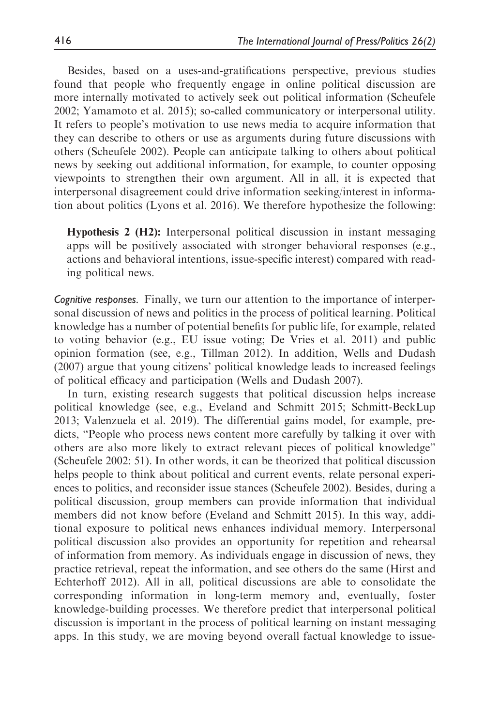Besides, based on a uses-and-gratifications perspective, previous studies found that people who frequently engage in online political discussion are more internally motivated to actively seek out political information (Scheufele 2002; Yamamoto et al. 2015); so-called communicatory or interpersonal utility. It refers to people's motivation to use news media to acquire information that they can describe to others or use as arguments during future discussions with others (Scheufele 2002). People can anticipate talking to others about political news by seeking out additional information, for example, to counter opposing viewpoints to strengthen their own argument. All in all, it is expected that interpersonal disagreement could drive information seeking/interest in information about politics (Lyons et al. 2016). We therefore hypothesize the following:

Hypothesis 2 (H2): Interpersonal political discussion in instant messaging apps will be positively associated with stronger behavioral responses (e.g., actions and behavioral intentions, issue-specific interest) compared with reading political news.

Cognitive responses. Finally, we turn our attention to the importance of interpersonal discussion of news and politics in the process of political learning. Political knowledge has a number of potential benefits for public life, for example, related to voting behavior (e.g., EU issue voting; De Vries et al. 2011) and public opinion formation (see, e.g., Tillman 2012). In addition, Wells and Dudash (2007) argue that young citizens' political knowledge leads to increased feelings of political efficacy and participation (Wells and Dudash 2007).

In turn, existing research suggests that political discussion helps increase political knowledge (see, e.g., Eveland and Schmitt 2015; Schmitt-BeckLup 2013; Valenzuela et al. 2019). The differential gains model, for example, predicts, "People who process news content more carefully by talking it over with others are also more likely to extract relevant pieces of political knowledge" (Scheufele 2002: 51). In other words, it can be theorized that political discussion helps people to think about political and current events, relate personal experiences to politics, and reconsider issue stances (Scheufele 2002). Besides, during a political discussion, group members can provide information that individual members did not know before (Eveland and Schmitt 2015). In this way, additional exposure to political news enhances individual memory. Interpersonal political discussion also provides an opportunity for repetition and rehearsal of information from memory. As individuals engage in discussion of news, they practice retrieval, repeat the information, and see others do the same (Hirst and Echterhoff 2012). All in all, political discussions are able to consolidate the corresponding information in long-term memory and, eventually, foster knowledge-building processes. We therefore predict that interpersonal political discussion is important in the process of political learning on instant messaging apps. In this study, we are moving beyond overall factual knowledge to issue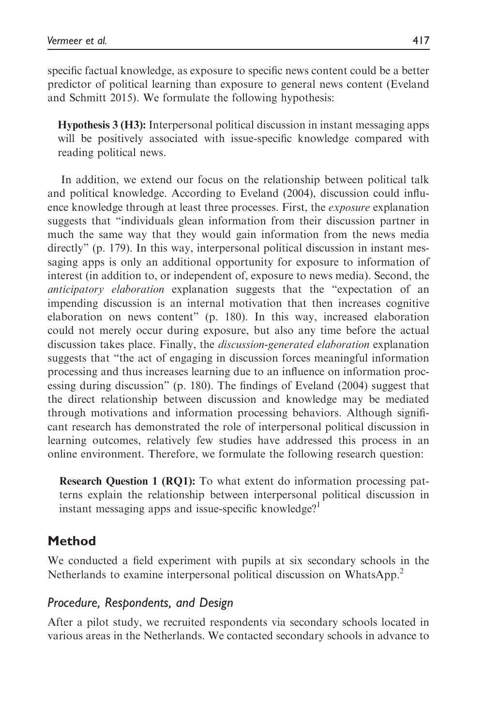specific factual knowledge, as exposure to specific news content could be a better predictor of political learning than exposure to general news content (Eveland and Schmitt 2015). We formulate the following hypothesis:

Hypothesis 3 (H3): Interpersonal political discussion in instant messaging apps will be positively associated with issue-specific knowledge compared with reading political news.

In addition, we extend our focus on the relationship between political talk and political knowledge. According to Eveland (2004), discussion could influence knowledge through at least three processes. First, the *exposure* explanation suggests that "individuals glean information from their discussion partner in much the same way that they would gain information from the news media directly" (p. 179). In this way, interpersonal political discussion in instant messaging apps is only an additional opportunity for exposure to information of interest (in addition to, or independent of, exposure to news media). Second, the anticipatory elaboration explanation suggests that the "expectation of an impending discussion is an internal motivation that then increases cognitive elaboration on news content" (p. 180). In this way, increased elaboration could not merely occur during exposure, but also any time before the actual discussion takes place. Finally, the discussion-generated elaboration explanation suggests that "the act of engaging in discussion forces meaningful information processing and thus increases learning due to an influence on information processing during discussion" (p. 180). The findings of Eveland (2004) suggest that the direct relationship between discussion and knowledge may be mediated through motivations and information processing behaviors. Although significant research has demonstrated the role of interpersonal political discussion in learning outcomes, relatively few studies have addressed this process in an online environment. Therefore, we formulate the following research question:

Research Question 1 (RQ1): To what extent do information processing patterns explain the relationship between interpersonal political discussion in instant messaging apps and issue-specific knowledge?<sup>1</sup>

# Method

We conducted a field experiment with pupils at six secondary schools in the Netherlands to examine interpersonal political discussion on WhatsApp.<sup>2</sup>

# Procedure, Respondents, and Design

After a pilot study, we recruited respondents via secondary schools located in various areas in the Netherlands. We contacted secondary schools in advance to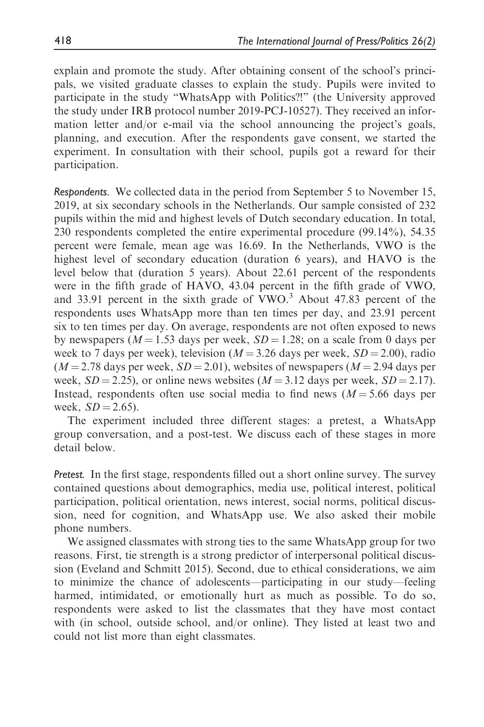explain and promote the study. After obtaining consent of the school's principals, we visited graduate classes to explain the study. Pupils were invited to participate in the study "WhatsApp with Politics?!" (the University approved the study under IRB protocol number 2019-PCJ-10527). They received an information letter and/or e-mail via the school announcing the project's goals, planning, and execution. After the respondents gave consent, we started the experiment. In consultation with their school, pupils got a reward for their participation.

Respondents. We collected data in the period from September 5 to November 15, 2019, at six secondary schools in the Netherlands. Our sample consisted of 232 pupils within the mid and highest levels of Dutch secondary education. In total, 230 respondents completed the entire experimental procedure (99.14%), 54.35 percent were female, mean age was 16.69. In the Netherlands, VWO is the highest level of secondary education (duration 6 years), and HAVO is the level below that (duration 5 years). About 22.61 percent of the respondents were in the fifth grade of HAVO, 43.04 percent in the fifth grade of VWO, and  $33.91$  percent in the sixth grade of VWO.<sup>3</sup> About 47.83 percent of the respondents uses WhatsApp more than ten times per day, and 23.91 percent six to ten times per day. On average, respondents are not often exposed to news by newspapers ( $M = 1.53$  days per week,  $SD = 1.28$ ; on a scale from 0 days per week to 7 days per week), television ( $M = 3.26$  days per week,  $SD = 2.00$ ), radio  $(M = 2.78$  days per week,  $SD = 2.01$ ), websites of newspapers  $(M = 2.94$  days per week,  $SD = 2.25$ ), or online news websites ( $M = 3.12$  days per week,  $SD = 2.17$ ). Instead, respondents often use social media to find news  $(M = 5.66$  days per week,  $SD = 2.65$ ).

The experiment included three different stages: a pretest, a WhatsApp group conversation, and a post-test. We discuss each of these stages in more detail below.

Pretest. In the first stage, respondents filled out a short online survey. The survey contained questions about demographics, media use, political interest, political participation, political orientation, news interest, social norms, political discussion, need for cognition, and WhatsApp use. We also asked their mobile phone numbers.

We assigned classmates with strong ties to the same WhatsApp group for two reasons. First, tie strength is a strong predictor of interpersonal political discussion (Eveland and Schmitt 2015). Second, due to ethical considerations, we aim to minimize the chance of adolescents—participating in our study—feeling harmed, intimidated, or emotionally hurt as much as possible. To do so, respondents were asked to list the classmates that they have most contact with (in school, outside school, and/or online). They listed at least two and could not list more than eight classmates.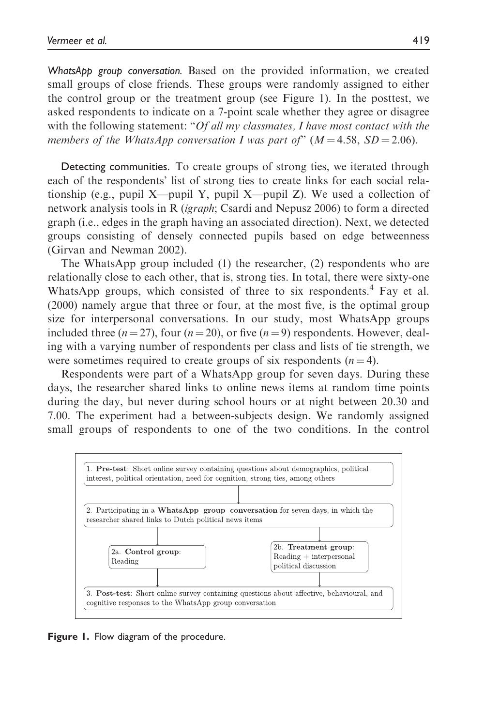WhatsApp group conversation. Based on the provided information, we created small groups of close friends. These groups were randomly assigned to either the control group or the treatment group (see Figure 1). In the posttest, we asked respondents to indicate on a 7-point scale whether they agree or disagree with the following statement: " $Of$  all my classmates, I have most contact with the members of the WhatsApp conversation I was part of"  $(M = 4.58, SD = 2.06)$ .

Detecting communities. To create groups of strong ties, we iterated through each of the respondents' list of strong ties to create links for each social relationship (e.g., pupil X—pupil Y, pupil X—pupil Z). We used a collection of network analysis tools in R (igraph; Csardi and Nepusz 2006) to form a directed graph (i.e., edges in the graph having an associated direction). Next, we detected groups consisting of densely connected pupils based on edge betweenness (Girvan and Newman 2002).

The WhatsApp group included (1) the researcher, (2) respondents who are relationally close to each other, that is, strong ties. In total, there were sixty-one WhatsApp groups, which consisted of three to six respondents.<sup>4</sup> Fay et al. (2000) namely argue that three or four, at the most five, is the optimal group size for interpersonal conversations. In our study, most WhatsApp groups included three  $(n = 27)$ , four  $(n = 20)$ , or five  $(n = 9)$  respondents. However, dealing with a varying number of respondents per class and lists of tie strength, we were sometimes required to create groups of six respondents  $(n = 4)$ .

Respondents were part of a WhatsApp group for seven days. During these days, the researcher shared links to online news items at random time points during the day, but never during school hours or at night between 20.30 and 7.00. The experiment had a between-subjects design. We randomly assigned small groups of respondents to one of the two conditions. In the control



Figure 1. Flow diagram of the procedure.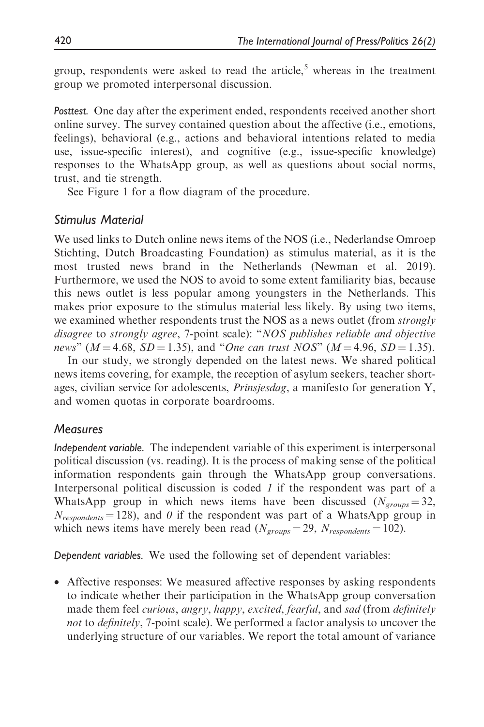group, respondents were asked to read the article,<sup>5</sup> whereas in the treatment group we promoted interpersonal discussion.

Posttest. One day after the experiment ended, respondents received another short online survey. The survey contained question about the affective (i.e., emotions, feelings), behavioral (e.g., actions and behavioral intentions related to media use, issue-specific interest), and cognitive (e.g., issue-specific knowledge) responses to the WhatsApp group, as well as questions about social norms, trust, and tie strength.

See Figure 1 for a flow diagram of the procedure.

## Stimulus Material

We used links to Dutch online news items of the NOS (i.e., Nederlandse Omroep Stichting, Dutch Broadcasting Foundation) as stimulus material, as it is the most trusted news brand in the Netherlands (Newman et al. 2019). Furthermore, we used the NOS to avoid to some extent familiarity bias, because this news outlet is less popular among youngsters in the Netherlands. This makes prior exposure to the stimulus material less likely. By using two items, we examined whether respondents trust the NOS as a news outlet (from *strongly* disagree to strongly agree, 7-point scale): "NOS publishes reliable and objective news" ( $M = 4.68$ ,  $SD = 1.35$ ), and "One can trust NOS" ( $M = 4.96$ ,  $SD = 1.35$ ).

In our study, we strongly depended on the latest news. We shared political news items covering, for example, the reception of asylum seekers, teacher shortages, civilian service for adolescents, Prinsjesdag, a manifesto for generation Y, and women quotas in corporate boardrooms.

## **Measures**

Independent variable. The independent variable of this experiment is interpersonal political discussion (vs. reading). It is the process of making sense of the political information respondents gain through the WhatsApp group conversations. Interpersonal political discussion is coded 1 if the respondent was part of a WhatsApp group in which news items have been discussed ( $N_{groups} = 32$ ,  $N_{respondents}$  = 128), and 0 if the respondent was part of a WhatsApp group in which news items have merely been read ( $N_{groups} = 29$ ,  $N_{respondents} = 102$ ).

Dependent variables. We used the following set of dependent variables:

• Affective responses: We measured affective responses by asking respondents to indicate whether their participation in the WhatsApp group conversation made them feel *curious, angry, happy, excited, fearful*, and *sad* (from *definitely* not to definitely, 7-point scale). We performed a factor analysis to uncover the underlying structure of our variables. We report the total amount of variance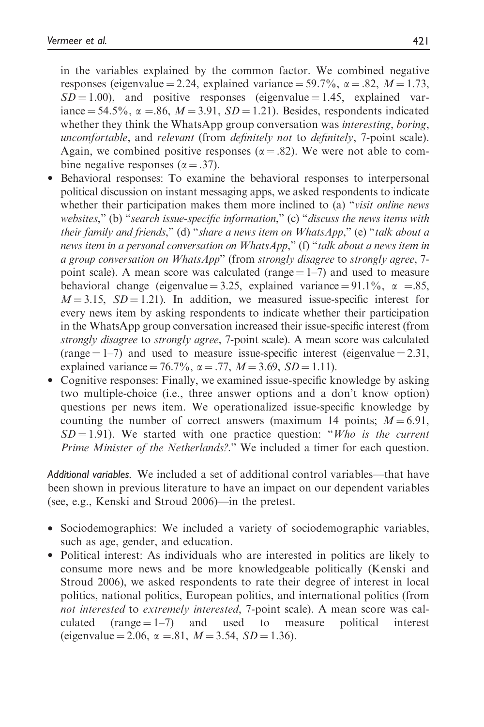in the variables explained by the common factor. We combined negative responses (eigenvalue = 2.24, explained variance = 59.7%,  $\alpha$  = .82,  $M = 1.73$ ,  $SD = 1.00$ ), and positive responses (eigenvalue = 1.45, explained variance = 54.5%,  $\alpha$  = 86,  $M = 3.91$ ,  $SD = 1.21$ ). Besides, respondents indicated whether they think the WhatsApp group conversation was *interesting*, *boring*, uncomfortable, and relevant (from definitely not to definitely, 7-point scale). Again, we combined positive responses ( $\alpha = .82$ ). We were not able to combine negative responses ( $\alpha = .37$ ).

- Behavioral responses: To examine the behavioral responses to interpersonal political discussion on instant messaging apps, we asked respondents to indicate whether their participation makes them more inclined to (a) "*visit online news* websites," (b) "search issue-specific information," (c) "discuss the news items with their family and friends," (d) "share a news item on WhatsApp," (e) "talk about a news item in a personal conversation on WhatsApp," (f) "talk about a news item in a group conversation on WhatsApp" (from strongly disagree to strongly agree, 7 point scale). A mean score was calculated (range  $= 1-7$ ) and used to measure behavioral change (eigenvalue = 3.25, explained variance = 91.1%,  $\alpha$  = .85,  $M = 3.15$ ,  $SD = 1.21$ ). In addition, we measured issue-specific interest for every news item by asking respondents to indicate whether their participation in the WhatsApp group conversation increased their issue-specific interest (from strongly disagree to strongly agree, 7-point scale). A mean score was calculated (range  $= 1-7$ ) and used to measure issue-specific interest (eigenvalue  $= 2.31$ , explained variance = 76.7%,  $\alpha$  = .77,  $M$  = 3.69, SD = 1.11).
- Cognitive responses: Finally, we examined issue-specific knowledge by asking two multiple-choice (i.e., three answer options and a don't know option) questions per news item. We operationalized issue-specific knowledge by counting the number of correct answers (maximum 14 points;  $M = 6.91$ ,  $SD = 1.91$ ). We started with one practice question: "Who is the current Prime Minister of the Netherlands?." We included a timer for each question.

Additional variables. We included a set of additional control variables—that have been shown in previous literature to have an impact on our dependent variables (see, e.g., Kenski and Stroud 2006)—in the pretest.

- Sociodemographics: We included a variety of sociodemographic variables, such as age, gender, and education.
- Political interest: As individuals who are interested in politics are likely to consume more news and be more knowledgeable politically (Kenski and Stroud 2006), we asked respondents to rate their degree of interest in local politics, national politics, European politics, and international politics (from not interested to extremely interested, 7-point scale). A mean score was calculated (range  $= 1-7$ ) and used to measure political interest (eigenvalue = 2.06,  $\alpha$  = 81,  $M = 3.54$ ,  $SD = 1.36$ ).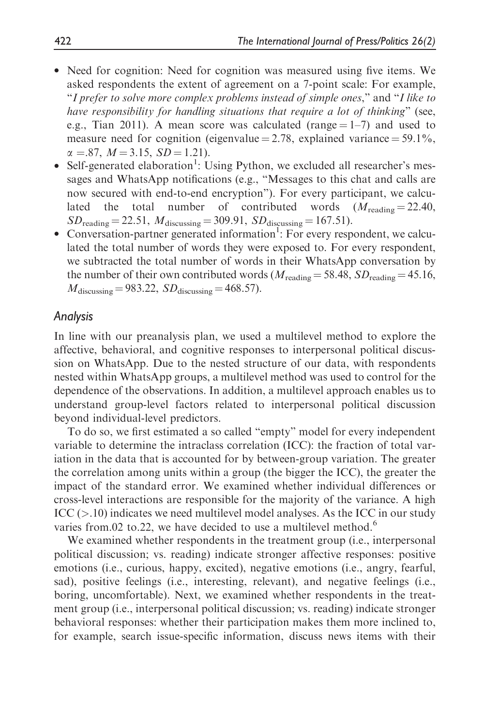- Need for cognition: Need for cognition was measured using five items. We asked respondents the extent of agreement on a 7-point scale: For example, "I prefer to solve more complex problems instead of simple ones," and "I like to have responsibility for handling situations that require a lot of thinking" (see, e.g., Tian 2011). A mean score was calculated (range  $= 1-7$ ) and used to measure need for cognition (eigenvalue  $= 2.78$ , explained variance  $= 59.1\%$ ,  $\alpha = .87$ ,  $M = 3.15$ ,  $SD = 1.21$ ).
- Self-generated elaboration<sup>1</sup>: Using Python, we excluded all researcher's messages and WhatsApp notifications (e.g., "Messages to this chat and calls are now secured with end-to-end encryption"). For every participant, we calculated the total number of contributed words  $(M_{\text{reading}} = 22.40,$  $SD_{\text{reading}} = 22.51, M_{\text{discussing}} = 309.91, SD_{\text{discussing}} = 167.51$ .
- $\bullet$  Conversation-partner generated information<sup>1</sup>: For every respondent, we calculated the total number of words they were exposed to. For every respondent, we subtracted the total number of words in their WhatsApp conversation by the number of their own contributed words ( $M_{\text{reading}} = 58.48$ ,  $SD_{\text{reading}} = 45.16$ ,  $M_{\text{discussing}} = 983.22$ ,  $SD_{\text{discussing}} = 468.57$ .

### Analysis

In line with our preanalysis plan, we used a multilevel method to explore the affective, behavioral, and cognitive responses to interpersonal political discussion on WhatsApp. Due to the nested structure of our data, with respondents nested within WhatsApp groups, a multilevel method was used to control for the dependence of the observations. In addition, a multilevel approach enables us to understand group-level factors related to interpersonal political discussion beyond individual-level predictors.

To do so, we first estimated a so called "empty" model for every independent variable to determine the intraclass correlation (ICC): the fraction of total variation in the data that is accounted for by between-group variation. The greater the correlation among units within a group (the bigger the ICC), the greater the impact of the standard error. We examined whether individual differences or cross-level interactions are responsible for the majority of the variance. A high  $\text{ICC} (>10)$  indicates we need multilevel model analyses. As the ICC in our study varies from.02 to.22, we have decided to use a multilevel method.<sup>6</sup>

We examined whether respondents in the treatment group (i.e., interpersonal political discussion; vs. reading) indicate stronger affective responses: positive emotions (i.e., curious, happy, excited), negative emotions (i.e., angry, fearful, sad), positive feelings (i.e., interesting, relevant), and negative feelings (i.e., boring, uncomfortable). Next, we examined whether respondents in the treatment group (i.e., interpersonal political discussion; vs. reading) indicate stronger behavioral responses: whether their participation makes them more inclined to, for example, search issue-specific information, discuss news items with their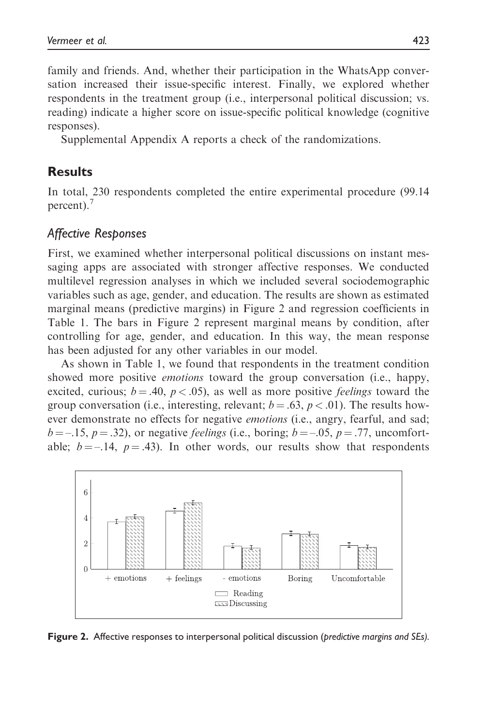family and friends. And, whether their participation in the WhatsApp conversation increased their issue-specific interest. Finally, we explored whether respondents in the treatment group (i.e., interpersonal political discussion; vs. reading) indicate a higher score on issue-specific political knowledge (cognitive responses).

Supplemental Appendix A reports a check of the randomizations.

## Results

In total, 230 respondents completed the entire experimental procedure (99.14 percent).<sup>7</sup>

### Affective Responses

First, we examined whether interpersonal political discussions on instant messaging apps are associated with stronger affective responses. We conducted multilevel regression analyses in which we included several sociodemographic variables such as age, gender, and education. The results are shown as estimated marginal means (predictive margins) in Figure 2 and regression coefficients in Table 1. The bars in Figure 2 represent marginal means by condition, after controlling for age, gender, and education. In this way, the mean response has been adjusted for any other variables in our model.

As shown in Table 1, we found that respondents in the treatment condition showed more positive *emotions* toward the group conversation (i.e., happy, excited, curious;  $b = .40$ ,  $p < .05$ ), as well as more positive *feelings* toward the group conversation (i.e., interesting, relevant;  $b = .63$ ,  $p < .01$ ). The results however demonstrate no effects for negative *emotions* (i.e., angry, fearful, and sad;  $b = -15$ ,  $p = .32$ ), or negative *feelings* (i.e., boring;  $b = -0.05$ ,  $p = .77$ , uncomfortable;  $b = -14$ ,  $p = .43$ ). In other words, our results show that respondents



Figure 2. Affective responses to interpersonal political discussion (predictive margins and SEs).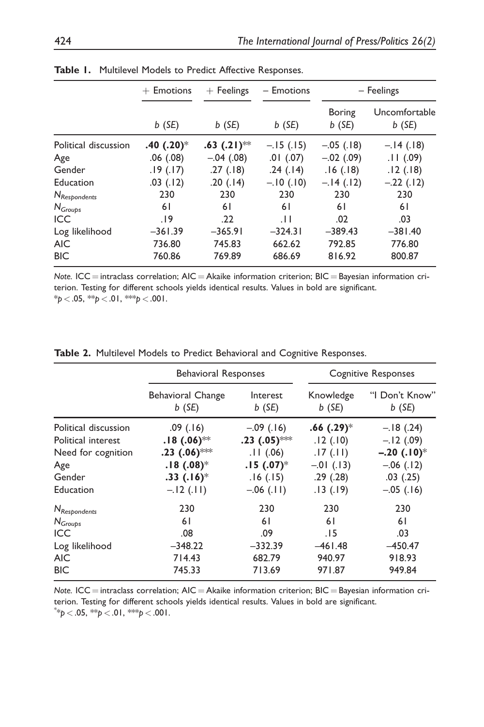|                      | $+$ Emotions            | $+$ Feelings              | $-$ Emotions  | $-$ Feelings              |                           |
|----------------------|-------------------------|---------------------------|---------------|---------------------------|---------------------------|
|                      | $b$ (SE)                | $b$ (SE)                  | $b$ (SE)      | <b>Boring</b><br>$b$ (SE) | Uncomfortable<br>$b$ (SE) |
| Political discussion | $.40(.20)$ <sup>*</sup> | $.63$ (.21) <sup>**</sup> | $-.15(.15)$   | $-.05$ (.18)              | $-.14(.18)$               |
| Age                  | $.06$ $(.08)$           | $-.04(.08)$               | $.01$ $(.07)$ | $-.02$ (.09)              | .11(.09)                  |
| Gender               | .19(.17)                | .27(.18)                  | .24(.14)      | .16(.18)                  | .12(.18)                  |
| Education            | $.03$ $(.12)$           | .20(.14)                  | $-.10(.10)$   | $-.14(.12)$               | $-.22(.12)$               |
| $N_{Respondents}$    | 230                     | 230                       | 230           | 230                       | 230                       |
| $N_{Groups}$         | 61                      | 61                        | 6 I           | 61                        | 61                        |
| <b>ICC</b>           | 19.                     | .22                       | .11           | .02                       | .03                       |
| Log likelihood       | $-361.39$               | $-365.91$                 | $-324.31$     | $-389.43$                 | $-381.40$                 |
| <b>AIC</b>           | 736.80                  | 745.83                    | 662.62        | 792.85                    | 776.80                    |
| <b>BIC</b>           | 760.86                  | 769.89                    | 686.69        | 816.92                    | 800.87                    |

Table 1. Multilevel Models to Predict Affective Responses.

Note. ICC = intraclass correlation;  $AIC = Akaike$  information criterion;  $BIC = Bayesian$  information criterion. Testing for different schools yields identical results. Values in bold are significant.  $*_{p}$  < .05,  $*_{p}$  < .01,  $*_{p}$  < .001.

| Table 2. Multilevel Models to Predict Behavioral and Cognitive Responses. |  |
|---------------------------------------------------------------------------|--|
|---------------------------------------------------------------------------|--|

|                          | <b>Behavioral Responses</b> |                 | <b>Cognitive Responses</b> |                |
|--------------------------|-----------------------------|-----------------|----------------------------|----------------|
|                          | <b>Behavioral Change</b>    | Interest        | Knowledge                  | "I Don't Know" |
|                          | $b$ (SE)                    | $b$ (SE)        | $b$ (SE)                   | $b$ (SE)       |
| Political discussion     | .09(.16)                    | $-.09(.16)$     | $.66(.29)$ <sup>*</sup>    | $-.18(.24)$    |
| Political interest       | $.18(.06)$ <sup>**</sup>    | .23 $(.05)$ *** | .12(.10)                   | $-.12(.09)$    |
| Need for cognition       | $.23$ (.06)***              | .11(06)         | .17(.11)                   | $-.20(.10)*$   |
| Age                      | $.18(.08)$ <sup>*</sup>     | $.15(.07)^*$    | $-.01$ (.13)               | $-.06(.12)$    |
| Gender                   | $.33(.16)^*$                | .16(.15)        | .29(.28)                   | .03(.25)       |
| Education                | $-.12(.11)$                 | $-.06(.11)$     | .13(.19)                   | $-.05$ (.16)   |
| N <sub>Respondents</sub> | 230                         | 230             | 230                        | 230            |
| $N_{Groups}$             | 61                          | 61              | 61                         | 61             |
| <b>ICC</b>               | .08                         | .09             | .15                        | .03            |
| Log likelihood           | $-348.22$                   | $-332.39$       | $-461.48$                  | $-450.47$      |
| <b>AIC</b>               | 714.43                      | 682.79          | 940.97                     | 918.93         |
| <b>BIC</b>               | 745.33                      | 713.69          | 971.87                     | 949.84         |

Note.  $ICC =$  intraclass correlation;  $AIC = A$ kaike information criterion;  $BIC =$  Bayesian information criterion. Testing for different schools yields identical results. Values in bold are significant.  $^{\ast_{\ast}}p < .05$ ,  $^{\ast_{\ast}}p < .01$ ,  $^{\ast_{\ast\ast}}p < .001$ .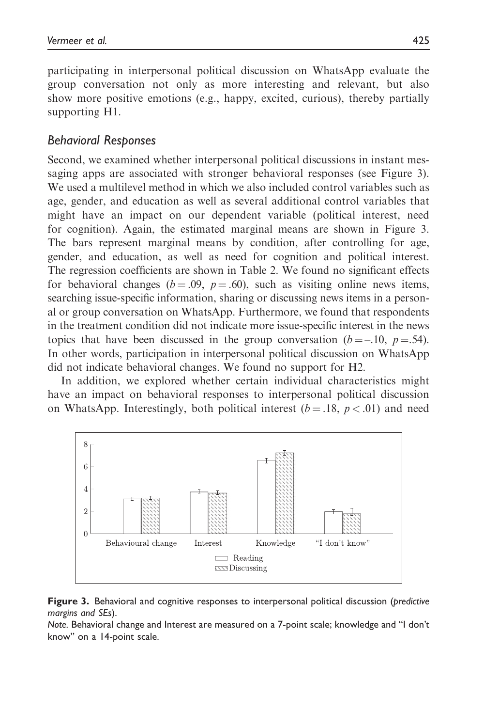participating in interpersonal political discussion on WhatsApp evaluate the group conversation not only as more interesting and relevant, but also show more positive emotions (e.g., happy, excited, curious), thereby partially supporting H1.

# Behavioral Responses

Second, we examined whether interpersonal political discussions in instant messaging apps are associated with stronger behavioral responses (see Figure 3). We used a multilevel method in which we also included control variables such as age, gender, and education as well as several additional control variables that might have an impact on our dependent variable (political interest, need for cognition). Again, the estimated marginal means are shown in Figure 3. The bars represent marginal means by condition, after controlling for age, gender, and education, as well as need for cognition and political interest. The regression coefficients are shown in Table 2. We found no significant effects for behavioral changes ( $b = .09$ ,  $p = .60$ ), such as visiting online news items, searching issue-specific information, sharing or discussing news items in a personal or group conversation on WhatsApp. Furthermore, we found that respondents in the treatment condition did not indicate more issue-specific interest in the news topics that have been discussed in the group conversation ( $b = -10$ ,  $p = .54$ ). In other words, participation in interpersonal political discussion on WhatsApp did not indicate behavioral changes. We found no support for H2.

In addition, we explored whether certain individual characteristics might have an impact on behavioral responses to interpersonal political discussion on WhatsApp. Interestingly, both political interest  $(b=.18, p < .01)$  and need





Note. Behavioral change and Interest are measured on a 7-point scale; knowledge and "I don't know" on a 14-point scale.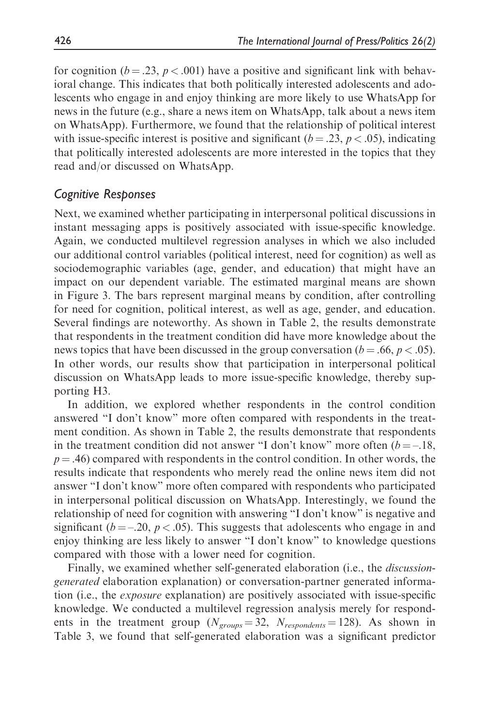for cognition ( $b = .23$ ,  $p < .001$ ) have a positive and significant link with behavioral change. This indicates that both politically interested adolescents and adolescents who engage in and enjoy thinking are more likely to use WhatsApp for news in the future (e.g., share a news item on WhatsApp, talk about a news item on WhatsApp). Furthermore, we found that the relationship of political interest with issue-specific interest is positive and significant ( $b = .23$ ,  $p < .05$ ), indicating that politically interested adolescents are more interested in the topics that they read and/or discussed on WhatsApp.

## Cognitive Responses

Next, we examined whether participating in interpersonal political discussions in instant messaging apps is positively associated with issue-specific knowledge. Again, we conducted multilevel regression analyses in which we also included our additional control variables (political interest, need for cognition) as well as sociodemographic variables (age, gender, and education) that might have an impact on our dependent variable. The estimated marginal means are shown in Figure 3. The bars represent marginal means by condition, after controlling for need for cognition, political interest, as well as age, gender, and education. Several findings are noteworthy. As shown in Table 2, the results demonstrate that respondents in the treatment condition did have more knowledge about the news topics that have been discussed in the group conversation ( $b = .66$ ,  $p < .05$ ). In other words, our results show that participation in interpersonal political discussion on WhatsApp leads to more issue-specific knowledge, thereby supporting H3.

In addition, we explored whether respondents in the control condition answered "I don't know" more often compared with respondents in the treatment condition. As shown in Table 2, the results demonstrate that respondents in the treatment condition did not answer "I don't know" more often  $(b = -18,$  $p = .46$ ) compared with respondents in the control condition. In other words, the results indicate that respondents who merely read the online news item did not answer "I don't know" more often compared with respondents who participated in interpersonal political discussion on WhatsApp. Interestingly, we found the relationship of need for cognition with answering "I don't know" is negative and significant ( $b = -20$ ,  $p < .05$ ). This suggests that adolescents who engage in and enjoy thinking are less likely to answer "I don't know" to knowledge questions compared with those with a lower need for cognition.

Finally, we examined whether self-generated elaboration (i.e., the *discussion*generated elaboration explanation) or conversation-partner generated information (i.e., the exposure explanation) are positively associated with issue-specific knowledge. We conducted a multilevel regression analysis merely for respondents in the treatment group ( $N_{groups} = 32$ ,  $N_{respondents} = 128$ ). As shown in Table 3, we found that self-generated elaboration was a significant predictor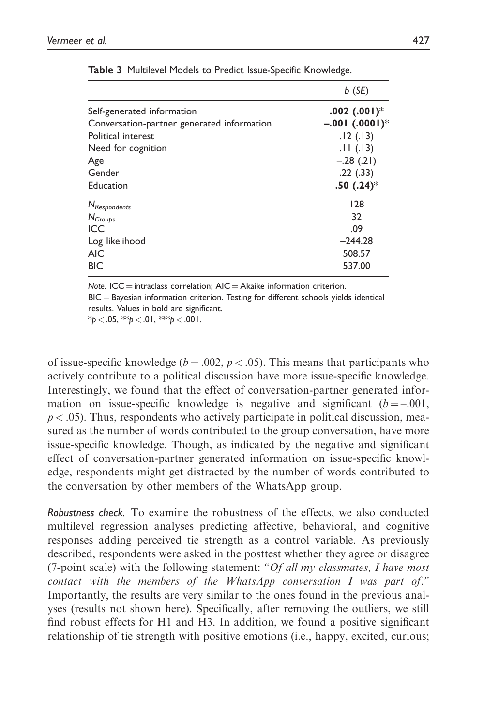|                                            | $b$ (SE)        |
|--------------------------------------------|-----------------|
| Self-generated information                 | $.002(.001)*$   |
| Conversation-partner generated information | $-.001(.0001)*$ |
| Political interest                         | .12(.13)        |
| Need for cognition                         | .11(.13)        |
| Age                                        | $-.28(.21)$     |
| Gender                                     | .22(.33)        |
| Education                                  | .50(.24)        |
| N <sub>Respondents</sub>                   | 128             |
| $N_{Groups}$                               | 32              |
| <b>ICC</b>                                 | .09             |
| Log likelihood                             | $-244.28$       |
| <b>AIC</b>                                 | 508.57          |
| <b>BIC</b>                                 | 537.00          |

Table 3 Multilevel Models to Predict Issue-Specific Knowledge.

Note. ICC = intraclass correlation;  $AIC = Akaike$  information criterion.

 $BIC =$  Bayesian information criterion. Testing for different schools yields identical results. Values in bold are significant.

 $*_{p}$  < .05,  $*_{p}$  < .01,  $*_{p}$  < .001.

of issue-specific knowledge ( $b = .002$ ,  $p < .05$ ). This means that participants who actively contribute to a political discussion have more issue-specific knowledge. Interestingly, we found that the effect of conversation-partner generated information on issue-specific knowledge is negative and significant  $(b = -0.001,$  $p < .05$ ). Thus, respondents who actively participate in political discussion, measured as the number of words contributed to the group conversation, have more issue-specific knowledge. Though, as indicated by the negative and significant effect of conversation-partner generated information on issue-specific knowledge, respondents might get distracted by the number of words contributed to the conversation by other members of the WhatsApp group.

Robustness check. To examine the robustness of the effects, we also conducted multilevel regression analyses predicting affective, behavioral, and cognitive responses adding perceived tie strength as a control variable. As previously described, respondents were asked in the posttest whether they agree or disagree (7-point scale) with the following statement: " $Of$  all my classmates, I have most contact with the members of the WhatsApp conversation I was part of." Importantly, the results are very similar to the ones found in the previous analyses (results not shown here). Specifically, after removing the outliers, we still find robust effects for H1 and H3. In addition, we found a positive significant relationship of tie strength with positive emotions (i.e., happy, excited, curious;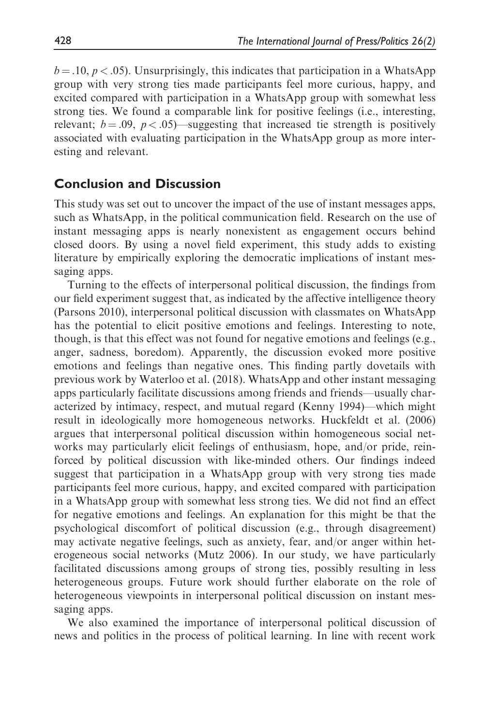$b = .10$ ,  $p < .05$ ). Unsurprisingly, this indicates that participation in a WhatsApp group with very strong ties made participants feel more curious, happy, and excited compared with participation in a WhatsApp group with somewhat less strong ties. We found a comparable link for positive feelings (i.e., interesting, relevant;  $b = .09$ ,  $p < .05$ )—suggesting that increased tie strength is positively associated with evaluating participation in the WhatsApp group as more interesting and relevant.

# Conclusion and Discussion

This study was set out to uncover the impact of the use of instant messages apps, such as WhatsApp, in the political communication field. Research on the use of instant messaging apps is nearly nonexistent as engagement occurs behind closed doors. By using a novel field experiment, this study adds to existing literature by empirically exploring the democratic implications of instant messaging apps.

Turning to the effects of interpersonal political discussion, the findings from our field experiment suggest that, as indicated by the affective intelligence theory (Parsons 2010), interpersonal political discussion with classmates on WhatsApp has the potential to elicit positive emotions and feelings. Interesting to note, though, is that this effect was not found for negative emotions and feelings (e.g., anger, sadness, boredom). Apparently, the discussion evoked more positive emotions and feelings than negative ones. This finding partly dovetails with previous work by Waterloo et al. (2018). WhatsApp and other instant messaging apps particularly facilitate discussions among friends and friends—usually characterized by intimacy, respect, and mutual regard (Kenny 1994)—which might result in ideologically more homogeneous networks. Huckfeldt et al. (2006) argues that interpersonal political discussion within homogeneous social networks may particularly elicit feelings of enthusiasm, hope, and/or pride, reinforced by political discussion with like-minded others. Our findings indeed suggest that participation in a WhatsApp group with very strong ties made participants feel more curious, happy, and excited compared with participation in a WhatsApp group with somewhat less strong ties. We did not find an effect for negative emotions and feelings. An explanation for this might be that the psychological discomfort of political discussion (e.g., through disagreement) may activate negative feelings, such as anxiety, fear, and/or anger within heterogeneous social networks (Mutz 2006). In our study, we have particularly facilitated discussions among groups of strong ties, possibly resulting in less heterogeneous groups. Future work should further elaborate on the role of heterogeneous viewpoints in interpersonal political discussion on instant messaging apps.

We also examined the importance of interpersonal political discussion of news and politics in the process of political learning. In line with recent work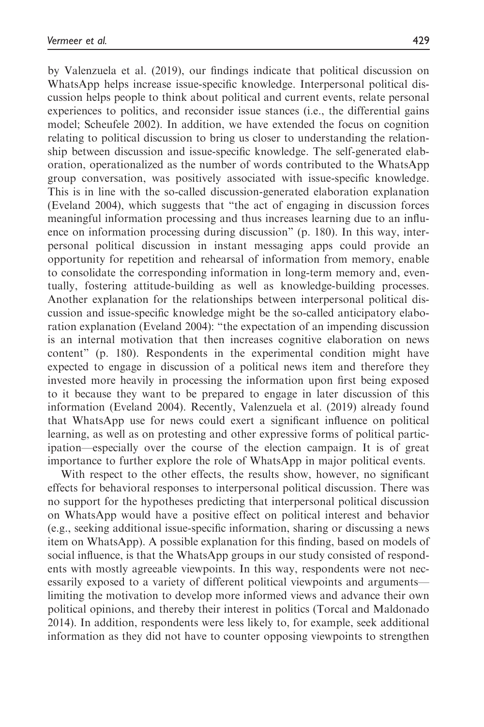by Valenzuela et al. (2019), our findings indicate that political discussion on WhatsApp helps increase issue-specific knowledge. Interpersonal political discussion helps people to think about political and current events, relate personal experiences to politics, and reconsider issue stances (i.e., the differential gains model; Scheufele 2002). In addition, we have extended the focus on cognition relating to political discussion to bring us closer to understanding the relationship between discussion and issue-specific knowledge. The self-generated elaboration, operationalized as the number of words contributed to the WhatsApp group conversation, was positively associated with issue-specific knowledge. This is in line with the so-called discussion-generated elaboration explanation (Eveland 2004), which suggests that "the act of engaging in discussion forces meaningful information processing and thus increases learning due to an influence on information processing during discussion" (p. 180). In this way, interpersonal political discussion in instant messaging apps could provide an opportunity for repetition and rehearsal of information from memory, enable to consolidate the corresponding information in long-term memory and, eventually, fostering attitude-building as well as knowledge-building processes. Another explanation for the relationships between interpersonal political discussion and issue-specific knowledge might be the so-called anticipatory elaboration explanation (Eveland 2004): "the expectation of an impending discussion is an internal motivation that then increases cognitive elaboration on news content" (p. 180). Respondents in the experimental condition might have expected to engage in discussion of a political news item and therefore they invested more heavily in processing the information upon first being exposed to it because they want to be prepared to engage in later discussion of this information (Eveland 2004). Recently, Valenzuela et al. (2019) already found that WhatsApp use for news could exert a significant influence on political learning, as well as on protesting and other expressive forms of political participation—especially over the course of the election campaign. It is of great importance to further explore the role of WhatsApp in major political events.

With respect to the other effects, the results show, however, no significant effects for behavioral responses to interpersonal political discussion. There was no support for the hypotheses predicting that interpersonal political discussion on WhatsApp would have a positive effect on political interest and behavior (e.g., seeking additional issue-specific information, sharing or discussing a news item on WhatsApp). A possible explanation for this finding, based on models of social influence, is that the WhatsApp groups in our study consisted of respondents with mostly agreeable viewpoints. In this way, respondents were not necessarily exposed to a variety of different political viewpoints and arguments limiting the motivation to develop more informed views and advance their own political opinions, and thereby their interest in politics (Torcal and Maldonado 2014). In addition, respondents were less likely to, for example, seek additional information as they did not have to counter opposing viewpoints to strengthen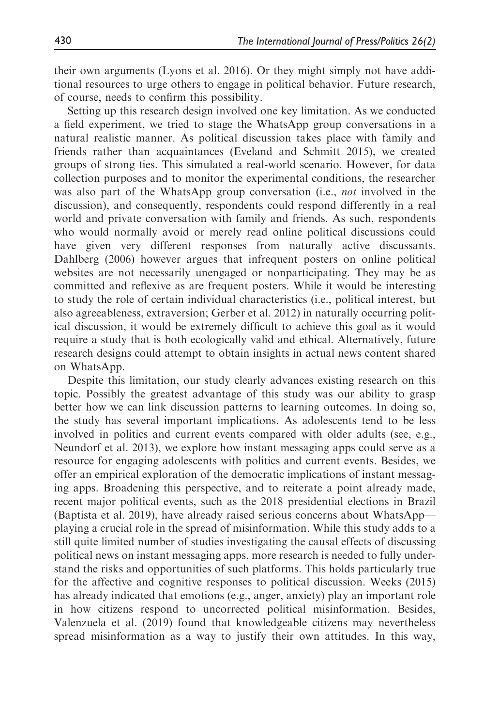their own arguments (Lyons et al. 2016). Or they might simply not have additional resources to urge others to engage in political behavior. Future research, of course, needs to confirm this possibility.

Setting up this research design involved one key limitation. As we conducted a field experiment, we tried to stage the WhatsApp group conversations in a natural realistic manner. As political discussion takes place with family and friends rather than acquaintances (Eveland and Schmitt 2015), we created groups of strong ties. This simulated a real-world scenario. However, for data collection purposes and to monitor the experimental conditions, the researcher was also part of the WhatsApp group conversation (i.e., *not* involved in the discussion), and consequently, respondents could respond differently in a real world and private conversation with family and friends. As such, respondents who would normally avoid or merely read online political discussions could have given very different responses from naturally active discussants. Dahlberg (2006) however argues that infrequent posters on online political websites are not necessarily unengaged or nonparticipating. They may be as committed and reflexive as are frequent posters. While it would be interesting to study the role of certain individual characteristics (i.e., political interest, but also agreeableness, extraversion; Gerber et al. 2012) in naturally occurring political discussion, it would be extremely difficult to achieve this goal as it would require a study that is both ecologically valid and ethical. Alternatively, future research designs could attempt to obtain insights in actual news content shared on WhatsApp.

Despite this limitation, our study clearly advances existing research on this topic. Possibly the greatest advantage of this study was our ability to grasp better how we can link discussion patterns to learning outcomes. In doing so, the study has several important implications. As adolescents tend to be less involved in politics and current events compared with older adults (see, e.g., Neundorf et al. 2013), we explore how instant messaging apps could serve as a resource for engaging adolescents with politics and current events. Besides, we offer an empirical exploration of the democratic implications of instant messaging apps. Broadening this perspective, and to reiterate a point already made, recent major political events, such as the 2018 presidential elections in Brazil (Baptista et al. 2019), have already raised serious concerns about WhatsApp playing a crucial role in the spread of misinformation. While this study adds to a still quite limited number of studies investigating the causal effects of discussing political news on instant messaging apps, more research is needed to fully understand the risks and opportunities of such platforms. This holds particularly true for the affective and cognitive responses to political discussion. Weeks (2015) has already indicated that emotions (e.g., anger, anxiety) play an important role in how citizens respond to uncorrected political misinformation. Besides, Valenzuela et al. (2019) found that knowledgeable citizens may nevertheless spread misinformation as a way to justify their own attitudes. In this way,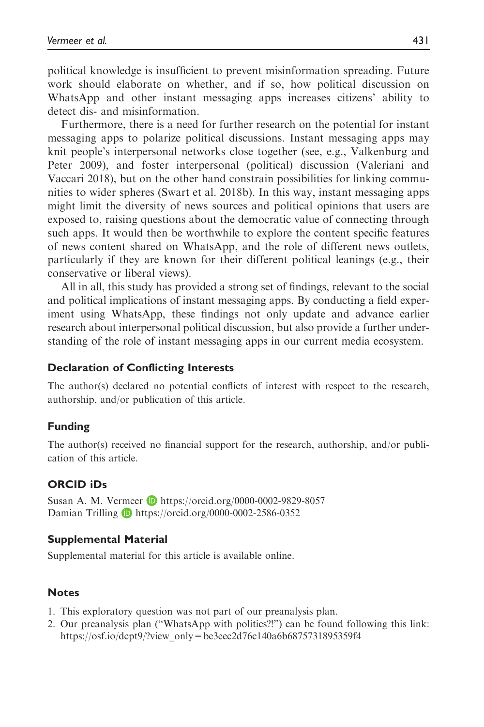political knowledge is insufficient to prevent misinformation spreading. Future work should elaborate on whether, and if so, how political discussion on WhatsApp and other instant messaging apps increases citizens' ability to detect dis- and misinformation.

Furthermore, there is a need for further research on the potential for instant messaging apps to polarize political discussions. Instant messaging apps may knit people's interpersonal networks close together (see, e.g., Valkenburg and Peter 2009), and foster interpersonal (political) discussion (Valeriani and Vaccari 2018), but on the other hand constrain possibilities for linking communities to wider spheres (Swart et al. 2018b). In this way, instant messaging apps might limit the diversity of news sources and political opinions that users are exposed to, raising questions about the democratic value of connecting through such apps. It would then be worthwhile to explore the content specific features of news content shared on WhatsApp, and the role of different news outlets, particularly if they are known for their different political leanings (e.g., their conservative or liberal views).

All in all, this study has provided a strong set of findings, relevant to the social and political implications of instant messaging apps. By conducting a field experiment using WhatsApp, these findings not only update and advance earlier research about interpersonal political discussion, but also provide a further understanding of the role of instant messaging apps in our current media ecosystem.

#### Declaration of Conflicting Interests

The author(s) declared no potential conflicts of interest with respect to the research, authorship, and/or publication of this article.

#### Funding

The author(s) received no financial support for the research, authorship, and/or publication of this article.

#### ORCID iDs

Susan A. M. Vermeer **D** <https://orcid.org/0000-0002-9829-8057> Damian Trilling **D** <https://orcid.org/0000-0002-2586-0352>

#### Supplemental Material

Supplemental material for this article is available online.

#### **Notes**

- 1. This exploratory question was not part of our preanalysis plan.
- 2. Our preanalysis plan ("WhatsApp with politics?!") can be found following this link: [https://osf.io/dcpt9/?view\\_only=be3eec2d76c140a6b6875731895359f4](https://osf.io/dcpt9/?view_only=be3eec2d76c140a6b6875731895359f4)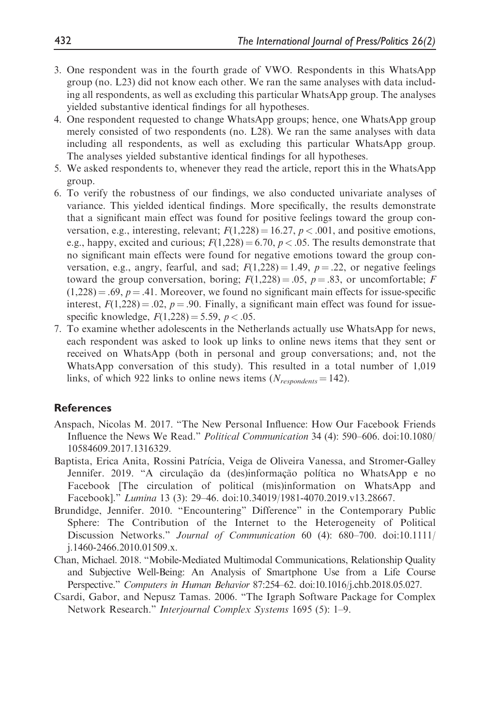- 3. One respondent was in the fourth grade of VWO. Respondents in this WhatsApp group (no. L23) did not know each other. We ran the same analyses with data including all respondents, as well as excluding this particular WhatsApp group. The analyses yielded substantive identical findings for all hypotheses.
- 4. One respondent requested to change WhatsApp groups; hence, one WhatsApp group merely consisted of two respondents (no. L28). We ran the same analyses with data including all respondents, as well as excluding this particular WhatsApp group. The analyses yielded substantive identical findings for all hypotheses.
- 5. We asked respondents to, whenever they read the article, report this in the WhatsApp group.
- 6. To verify the robustness of our findings, we also conducted univariate analyses of variance. This yielded identical findings. More specifically, the results demonstrate that a significant main effect was found for positive feelings toward the group conversation, e.g., interesting, relevant;  $F(1,228) = 16.27$ ,  $p < .001$ , and positive emotions, e.g., happy, excited and curious;  $F(1,228) = 6.70$ ,  $p < .05$ . The results demonstrate that no significant main effects were found for negative emotions toward the group conversation, e.g., angry, fearful, and sad;  $F(1,228) = 1.49$ ,  $p = .22$ , or negative feelings toward the group conversation, boring;  $F(1,228) = .05$ ,  $p = .83$ , or uncomfortable; F  $(1,228) = .69$ ,  $p = .41$ . Moreover, we found no significant main effects for issue-specific interest,  $F(1,228) = .02$ ,  $p = .90$ . Finally, a significant main effect was found for issuespecific knowledge,  $F(1,228) = 5.59$ ,  $p < .05$ .
- 7. To examine whether adolescents in the Netherlands actually use WhatsApp for news, each respondent was asked to look up links to online news items that they sent or received on WhatsApp (both in personal and group conversations; and, not the WhatsApp conversation of this study). This resulted in a total number of 1,019 links, of which 922 links to online news items ( $N_{respondents} = 142$ ).

#### **References**

- Anspach, Nicolas M. 2017. "The New Personal Influence: How Our Facebook Friends Influence the News We Read." Political Communication 34 (4): 590–606. doi:10.1080/ 10584609.2017.1316329.
- Baptista, Erica Anita, Rossini Patrıcia, Veiga de Oliveira Vanessa, and Stromer-Galley Jennifer. 2019. "A circulação da (des)informação política no WhatsApp e no Facebook [The circulation of political (mis)information on WhatsApp and Facebook]." Lumina 13 (3): 29–46. doi:10.34019/1981-4070.2019.v13.28667.
- Brundidge, Jennifer. 2010. "Encountering" Difference" in the Contemporary Public Sphere: The Contribution of the Internet to the Heterogeneity of Political Discussion Networks." Journal of Communication 60 (4): 680–700. doi:10.1111/ j.1460-2466.2010.01509.x.
- Chan, Michael. 2018. "Mobile-Mediated Multimodal Communications, Relationship Quality and Subjective Well-Being: An Analysis of Smartphone Use from a Life Course Perspective." Computers in Human Behavior 87:254–62. doi:10.1016/j.chb.2018.05.027.
- Csardi, Gabor, and Nepusz Tamas. 2006. "The Igraph Software Package for Complex Network Research." Interjournal Complex Systems 1695 (5): 1-9.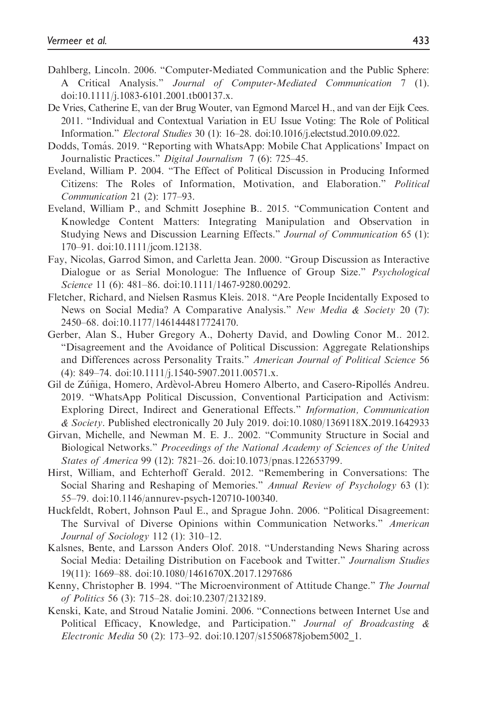- Dahlberg, Lincoln. 2006. "Computer-Mediated Communication and the Public Sphere: A Critical Analysis." Journal of Computer-Mediated Communication 7 (1). doi:10.1111/j.1083-6101.2001.tb00137.x.
- De Vries, Catherine E, van der Brug Wouter, van Egmond Marcel H., and van der Eijk Cees. 2011. "Individual and Contextual Variation in EU Issue Voting: The Role of Political Information." Electoral Studies 30 (1): 16–28. doi:10.1016/j.electstud.2010.09.022.
- Dodds, Tomás. 2019. "Reporting with WhatsApp: Mobile Chat Applications' Impact on Journalistic Practices." Digital Journalism 7 (6): 725–45.
- Eveland, William P. 2004. "The Effect of Political Discussion in Producing Informed Citizens: The Roles of Information, Motivation, and Elaboration." Political Communication 21 (2): 177–93.
- Eveland, William P., and Schmitt Josephine B.. 2015. "Communication Content and Knowledge Content Matters: Integrating Manipulation and Observation in Studying News and Discussion Learning Effects." Journal of Communication 65 (1): 170–91. doi:10.1111/jcom.12138.
- Fay, Nicolas, Garrod Simon, and Carletta Jean. 2000. "Group Discussion as Interactive Dialogue or as Serial Monologue: The Influence of Group Size." *Psychological* Science 11 (6): 481–86. doi:10.1111/1467-9280.00292.
- Fletcher, Richard, and Nielsen Rasmus Kleis. 2018. "Are People Incidentally Exposed to News on Social Media? A Comparative Analysis." New Media & Society 20 (7): 2450–68. doi:10.1177/1461444817724170.
- Gerber, Alan S., Huber Gregory A., Doherty David, and Dowling Conor M.. 2012. "Disagreement and the Avoidance of Political Discussion: Aggregate Relationships and Differences across Personality Traits." American Journal of Political Science 56 (4): 849–74. doi:10.1111/j.1540-5907.2011.00571.x.
- Gil de Zúñiga, Homero, Ardèvol-Abreu Homero Alberto, and Casero-Ripollés Andreu. 2019. "WhatsApp Political Discussion, Conventional Participation and Activism: Exploring Direct, Indirect and Generational Effects." Information, Communication & Society. Published electronically 20 July 2019. doi:10.1080/1369118X.2019.1642933
- Girvan, Michelle, and Newman M. E. J.. 2002. "Community Structure in Social and Biological Networks." Proceedings of the National Academy of Sciences of the United States of America 99 (12): 7821–26. doi:10.1073/pnas.122653799.
- Hirst, William, and Echterhoff Gerald. 2012. "Remembering in Conversations: The Social Sharing and Reshaping of Memories." Annual Review of Psychology 63 (1): 55–79. doi:10.1146/annurev-psych-120710-100340.
- Huckfeldt, Robert, Johnson Paul E., and Sprague John. 2006. "Political Disagreement: The Survival of Diverse Opinions within Communication Networks." American Journal of Sociology 112 (1): 310–12.
- Kalsnes, Bente, and Larsson Anders Olof. 2018. "Understanding News Sharing across Social Media: Detailing Distribution on Facebook and Twitter." Journalism Studies 19(11): 1669–88. doi:10.1080/1461670X.2017.1297686
- Kenny, Christopher B. 1994. "The Microenvironment of Attitude Change." The Journal of Politics 56 (3): 715–28. doi:10.2307/2132189.
- Kenski, Kate, and Stroud Natalie Jomini. 2006. "Connections between Internet Use and Political Efficacy, Knowledge, and Participation." Journal of Broadcasting & Electronic Media 50 (2): 173–92. doi:10.1207/s15506878jobem5002\_1.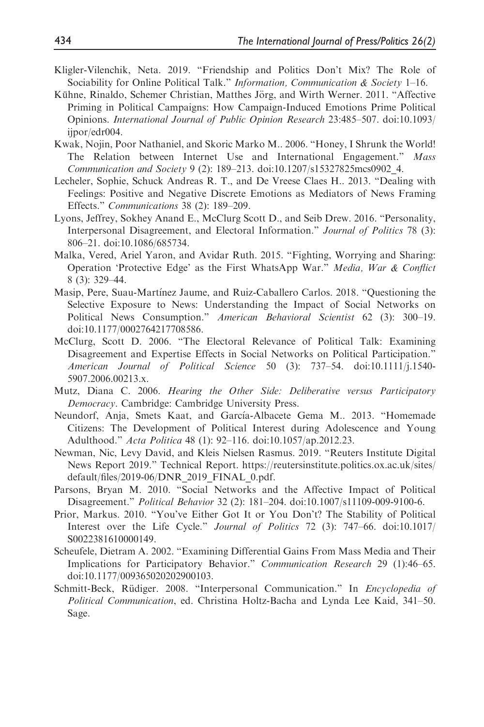- Kligler-Vilenchik, Neta. 2019. "Friendship and Politics Don't Mix? The Role of Sociability for Online Political Talk." Information, Communication & Society 1–16.
- Kühne, Rinaldo, Schemer Christian, Matthes Jörg, and Wirth Werner. 2011. "Affective Priming in Political Campaigns: How Campaign-Induced Emotions Prime Political Opinions. International Journal of Public Opinion Research 23:485–507. doi:10.1093/ ijpor/edr004.
- Kwak, Nojin, Poor Nathaniel, and Skoric Marko M.. 2006. "Honey, I Shrunk the World! The Relation between Internet Use and International Engagement." Mass Communication and Society 9 (2): 189–213. doi:10.1207/s15327825mcs0902\_4.
- Lecheler, Sophie, Schuck Andreas R. T., and De Vreese Claes H.. 2013. "Dealing with Feelings: Positive and Negative Discrete Emotions as Mediators of News Framing Effects." Communications 38 (2): 189–209.
- Lyons, Jeffrey, Sokhey Anand E., McClurg Scott D., and Seib Drew. 2016. "Personality, Interpersonal Disagreement, and Electoral Information." Journal of Politics 78 (3): 806–21. doi:10.1086/685734.
- Malka, Vered, Ariel Yaron, and Avidar Ruth. 2015. "Fighting, Worrying and Sharing: Operation 'Protective Edge' as the First WhatsApp War." Media, War & Conflict 8 (3): 329–44.
- Masip, Pere, Suau-Martınez Jaume, and Ruiz-Caballero Carlos. 2018. "Questioning the Selective Exposure to News: Understanding the Impact of Social Networks on Political News Consumption." American Behavioral Scientist 62 (3): 300-19. doi:10.1177/0002764217708586.
- McClurg, Scott D. 2006. "The Electoral Relevance of Political Talk: Examining Disagreement and Expertise Effects in Social Networks on Political Participation." American Journal of Political Science 50 (3): 737–54. doi:10.1111/j.1540- 5907.2006.00213.x.
- Mutz, Diana C. 2006. Hearing the Other Side: Deliberative versus Participatory Democracy. Cambridge: Cambridge University Press.
- Neundorf, Anja, Smets Kaat, and García-Albacete Gema M.. 2013. "Homemade Citizens: The Development of Political Interest during Adolescence and Young Adulthood." Acta Politica 48 (1): 92–116. doi:10.1057/ap.2012.23.
- Newman, Nic, Levy David, and Kleis Nielsen Rasmus. 2019. "Reuters Institute Digital News Report 2019." Technical Report. [https://reutersinstitute.politics.ox.ac.uk/sites/](https://reutersinstitute.politics.ox.ac.uk/sites/default/files/2019-06/DNR_2019_FINAL_0.pdf) [default/files/2019-06/DNR\\_2019\\_FINAL\\_0.pdf.](https://reutersinstitute.politics.ox.ac.uk/sites/default/files/2019-06/DNR_2019_FINAL_0.pdf)
- Parsons, Bryan M. 2010. "Social Networks and the Affective Impact of Political Disagreement." Political Behavior 32 (2): 181–204. doi:10.1007/s11109-009-9100-6.
- Prior, Markus. 2010. "You've Either Got It or You Don't? The Stability of Political Interest over the Life Cycle." Journal of Politics 72 (3): 747–66. doi:10.1017/ S0022381610000149.
- Scheufele, Dietram A. 2002. "Examining Differential Gains From Mass Media and Their Implications for Participatory Behavior." Communication Research 29 (1):46–65. doi:10.1177/009365020202900103.
- Schmitt-Beck, Rüdiger. 2008. "Interpersonal Communication." In *Encyclopedia of* Political Communication, ed. Christina Holtz-Bacha and Lynda Lee Kaid, 341–50. Sage.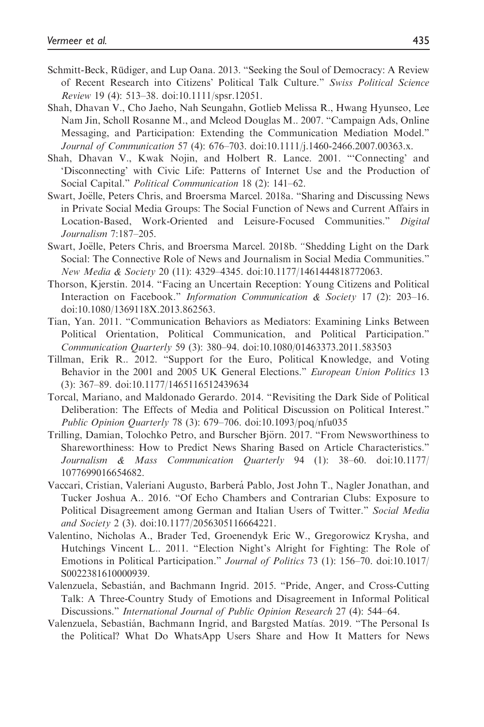- Schmitt-Beck, Rüdiger, and Lup Oana. 2013. "Seeking the Soul of Democracy: A Review of Recent Research into Citizens' Political Talk Culture." Swiss Political Science Review 19 (4): 513–38. doi:10.1111/spsr.12051.
- Shah, Dhavan V., Cho Jaeho, Nah Seungahn, Gotlieb Melissa R., Hwang Hyunseo, Lee Nam Jin, Scholl Rosanne M., and Mcleod Douglas M.. 2007. "Campaign Ads, Online Messaging, and Participation: Extending the Communication Mediation Model." Journal of Communication 57 (4): 676–703. doi:10.1111/j.1460-2466.2007.00363.x.
- Shah, Dhavan V., Kwak Nojin, and Holbert R. Lance. 2001. "'Connecting' and 'Disconnecting' with Civic Life: Patterns of Internet Use and the Production of Social Capital." Political Communication 18 (2): 141–62.
- Swart, Joëlle, Peters Chris, and Broersma Marcel. 2018a. "Sharing and Discussing News in Private Social Media Groups: The Social Function of News and Current Affairs in Location-Based, Work-Oriented and Leisure-Focused Communities." Digital Journalism 7:187–205.
- Swart, Joëlle, Peters Chris, and Broersma Marcel. 2018b. "Shedding Light on the Dark Social: The Connective Role of News and Journalism in Social Media Communities." New Media & Society 20 (11): 4329–4345. doi:10.1177/1461444818772063.
- Thorson, Kjerstin. 2014. "Facing an Uncertain Reception: Young Citizens and Political Interaction on Facebook." Information Communication & Society 17 (2): 203–16. doi:10.1080/1369118X.2013.862563.
- Tian, Yan. 2011. "Communication Behaviors as Mediators: Examining Links Between Political Orientation, Political Communication, and Political Participation." Communication Quarterly 59 (3): 380–94. doi:10.1080/01463373.2011.583503
- Tillman, Erik R.. 2012. "Support for the Euro, Political Knowledge, and Voting Behavior in the 2001 and 2005 UK General Elections." European Union Politics 13 (3): 367–89. doi:10.1177/1465116512439634
- Torcal, Mariano, and Maldonado Gerardo. 2014. "Revisiting the Dark Side of Political Deliberation: The Effects of Media and Political Discussion on Political Interest." Public Opinion Quarterly 78 (3): 679–706. doi:10.1093/poq/nfu035
- Trilling, Damian, Tolochko Petro, and Burscher Björn. 2017. "From Newsworthiness to Shareworthiness: How to Predict News Sharing Based on Article Characteristics." Journalism & Mass Communication Quarterly 94 (1): 38–60. doi:10.1177/ 1077699016654682.
- Vaccari, Cristian, Valeriani Augusto, Barberá Pablo, Jost John T., Nagler Jonathan, and Tucker Joshua A.. 2016. "Of Echo Chambers and Contrarian Clubs: Exposure to Political Disagreement among German and Italian Users of Twitter." Social Media and Society 2 (3). doi:10.1177/2056305116664221.
- Valentino, Nicholas A., Brader Ted, Groenendyk Eric W., Gregorowicz Krysha, and Hutchings Vincent L.. 2011. "Election Night's Alright for Fighting: The Role of Emotions in Political Participation." Journal of Politics 73 (1): 156–70. doi:10.1017/ S0022381610000939.
- Valenzuela, Sebastia´n, and Bachmann Ingrid. 2015. "Pride, Anger, and Cross-Cutting Talk: A Three-Country Study of Emotions and Disagreement in Informal Political Discussions." International Journal of Public Opinion Research 27 (4): 544–64.
- Valenzuela, Sebastia´n, Bachmann Ingrid, and Bargsted Matıas. 2019. "The Personal Is the Political? What Do WhatsApp Users Share and How It Matters for News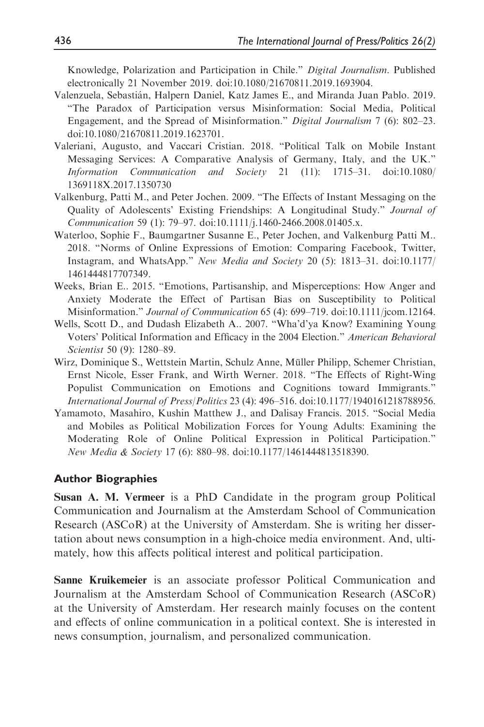Knowledge, Polarization and Participation in Chile." Digital Journalism. Published electronically 21 November 2019. doi:10.1080/21670811.2019.1693904.

- Valenzuela, Sebastia´n, Halpern Daniel, Katz James E., and Miranda Juan Pablo. 2019. "The Paradox of Participation versus Misinformation: Social Media, Political Engagement, and the Spread of Misinformation." Digital Journalism 7 (6): 802–23. doi:10.1080/21670811.2019.1623701.
- Valeriani, Augusto, and Vaccari Cristian. 2018. "Political Talk on Mobile Instant Messaging Services: A Comparative Analysis of Germany, Italy, and the UK." Information Communication and Society 21 (11): 1715–31. doi:10.1080/ 1369118X.2017.1350730
- Valkenburg, Patti M., and Peter Jochen. 2009. "The Effects of Instant Messaging on the Quality of Adolescents' Existing Friendships: A Longitudinal Study." Journal of Communication 59 (1): 79–97. doi:10.1111/j.1460-2466.2008.01405.x.
- Waterloo, Sophie F., Baumgartner Susanne E., Peter Jochen, and Valkenburg Patti M.. 2018. "Norms of Online Expressions of Emotion: Comparing Facebook, Twitter, Instagram, and WhatsApp." New Media and Society 20 (5): 1813–31. doi:10.1177/ 1461444817707349.
- Weeks, Brian E.. 2015. "Emotions, Partisanship, and Misperceptions: How Anger and Anxiety Moderate the Effect of Partisan Bias on Susceptibility to Political Misinformation." *Journal of Communication* 65 (4): 699–719. doi:10.1111/jcom.12164.
- Wells, Scott D., and Dudash Elizabeth A.. 2007. "Wha'd'ya Know? Examining Young Voters' Political Information and Efficacy in the 2004 Election." American Behavioral Scientist 50 (9): 1280–89.
- Wirz, Dominique S., Wettstein Martin, Schulz Anne, Müller Philipp, Schemer Christian, Ernst Nicole, Esser Frank, and Wirth Werner. 2018. "The Effects of Right-Wing Populist Communication on Emotions and Cognitions toward Immigrants." International Journal of Press/Politics 23 (4): 496–516. doi:10.1177/1940161218788956.
- Yamamoto, Masahiro, Kushin Matthew J., and Dalisay Francis. 2015. "Social Media and Mobiles as Political Mobilization Forces for Young Adults: Examining the Moderating Role of Online Political Expression in Political Participation." New Media & Society 17 (6): 880–98. doi:10.1177/1461444813518390.

#### Author Biographies

Susan A. M. Vermeer is a PhD Candidate in the program group Political Communication and Journalism at the Amsterdam School of Communication Research (ASCoR) at the University of Amsterdam. She is writing her dissertation about news consumption in a high-choice media environment. And, ultimately, how this affects political interest and political participation.

Sanne Kruikemeier is an associate professor Political Communication and Journalism at the Amsterdam School of Communication Research (ASCoR) at the University of Amsterdam. Her research mainly focuses on the content and effects of online communication in a political context. She is interested in news consumption, journalism, and personalized communication.